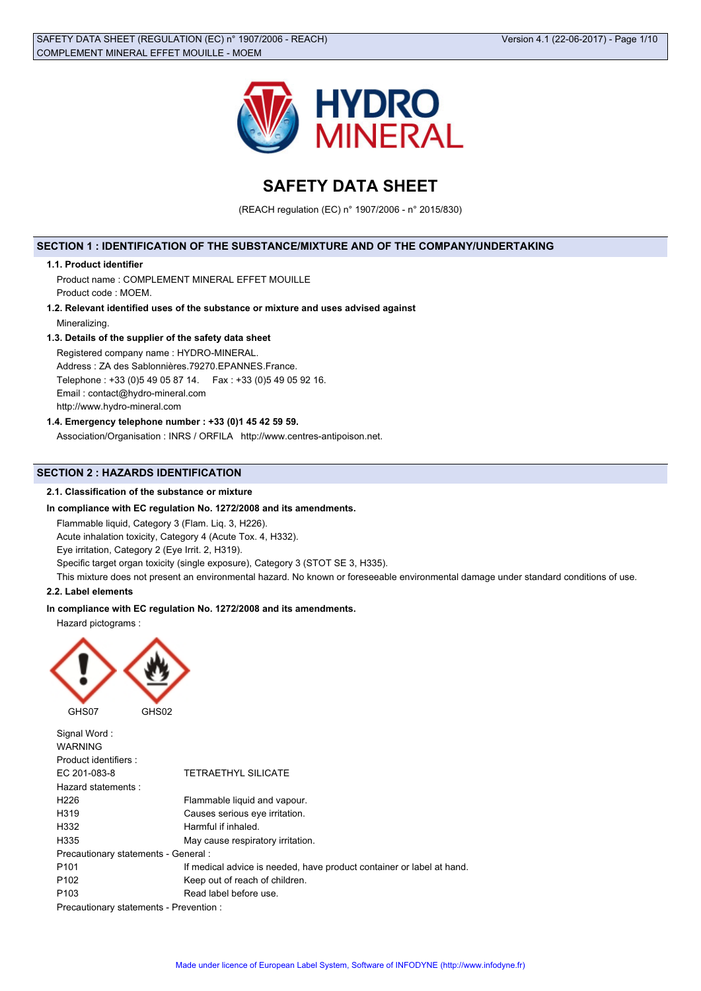

# **SAFETY DATA SHEET**

(REACH regulation (EC) n° 1907/2006 - n° 2015/830)

### **SECTION 1 : IDENTIFICATION OF THE SUBSTANCE/MIXTURE AND OF THE COMPANY/UNDERTAKING**

### **1.1. Product identifier**

Product name : COMPLEMENT MINERAL EFFET MOUILLE Product code : MOEM.

**1.2. Relevant identified uses of the substance or mixture and uses advised against** Mineralizing.

### **1.3. Details of the supplier of the safety data sheet**

Registered company name : HYDRO-MINERAL.

Address : ZA des Sablonnières.79270.EPANNES.France.

Telephone : +33 (0)5 49 05 87 14. Fax : +33 (0)5 49 05 92 16.

Email : contact@hydro-mineral.com

http://www.hydro-mineral.com

### **1.4. Emergency telephone number : +33 (0)1 45 42 59 59.**

Association/Organisation : INRS / ORFILA http://www.centres-antipoison.net.

### **SECTION 2 : HAZARDS IDENTIFICATION**

### **2.1. Classification of the substance or mixture**

### **In compliance with EC regulation No. 1272/2008 and its amendments.**

Flammable liquid, Category 3 (Flam. Liq. 3, H226).

Acute inhalation toxicity, Category 4 (Acute Tox. 4, H332).

Eye irritation, Category 2 (Eye Irrit. 2, H319).

Specific target organ toxicity (single exposure), Category 3 (STOT SE 3, H335).

This mixture does not present an environmental hazard. No known or foreseeable environmental damage under standard conditions of use.

### **2.2. Label elements**

### **In compliance with EC regulation No. 1272/2008 and its amendments.**

Hazard pictograms :



Signal Word : WARNING Product identifiers : EC 201-083-8 TETRAETHYL SILICATE Hazard statements : H226 Flammable liquid and vapour. H319 Causes serious eye irritation. H332 Harmful if inhaled. H335 May cause respiratory irritation. Precautionary statements - General : P101 **If medical advice is needed, have product container or label at hand.** P102 Keep out of reach of children. P103 Read label before use. Precautionary statements - Prevention :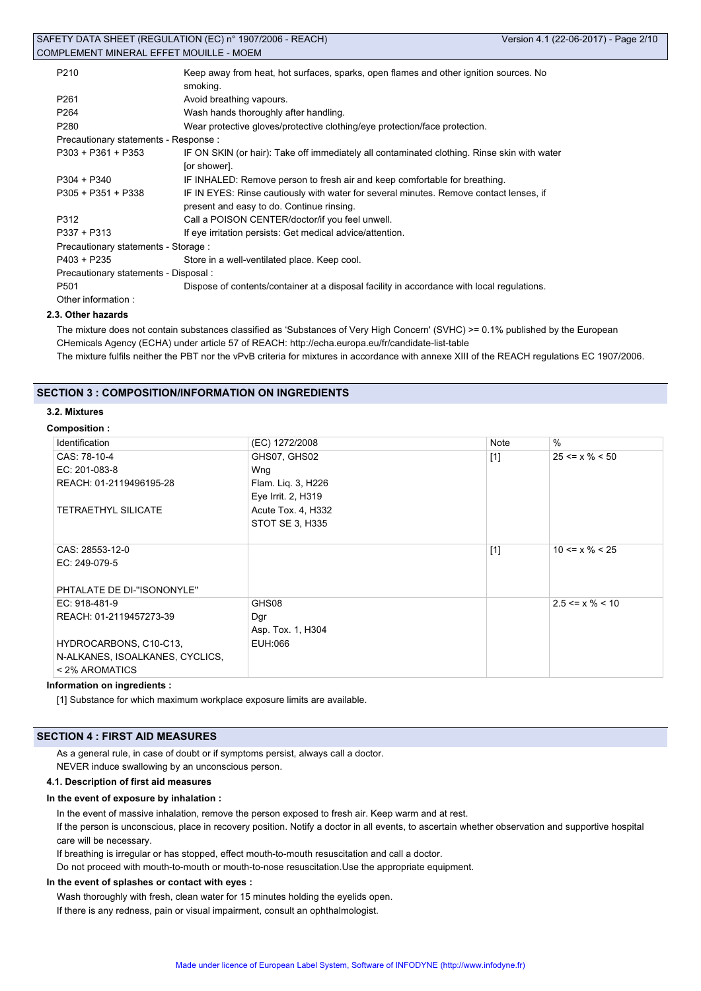| P <sub>210</sub>                      | Keep away from heat, hot surfaces, sparks, open flames and other ignition sources. No<br>smoking. |
|---------------------------------------|---------------------------------------------------------------------------------------------------|
| P <sub>261</sub>                      | Avoid breathing vapours.                                                                          |
| P <sub>264</sub>                      | Wash hands thoroughly after handling.                                                             |
| P280                                  | Wear protective gloves/protective clothing/eye protection/face protection.                        |
| Precautionary statements - Response : |                                                                                                   |
| $P303 + P361 + P353$                  | IF ON SKIN (or hair): Take off immediately all contaminated clothing. Rinse skin with water       |
|                                       | [or shower].                                                                                      |
| $P304 + P340$                         | IF INHALED: Remove person to fresh air and keep comfortable for breathing.                        |
| $P305 + P351 + P338$                  | IF IN EYES: Rinse cautiously with water for several minutes. Remove contact lenses, if            |
|                                       | present and easy to do. Continue rinsing.                                                         |
| P312                                  | Call a POISON CENTER/doctor/if you feel unwell.                                                   |
| P337 + P313                           | If eye irritation persists: Get medical advice/attention.                                         |
| Precautionary statements - Storage :  |                                                                                                   |
| $P403 + P235$                         | Store in a well-ventilated place. Keep cool.                                                      |
| Precautionary statements - Disposal : |                                                                                                   |
| P <sub>501</sub>                      | Dispose of contents/container at a disposal facility in accordance with local regulations.        |
| Other information:                    |                                                                                                   |

### **2.3. Other hazards**

The mixture does not contain substances classified as 'Substances of Very High Concern' (SVHC) >= 0.1% published by the European CHemicals Agency (ECHA) under article 57 of REACH: http://echa.europa.eu/fr/candidate-list-table

The mixture fulfils neither the PBT nor the vPvB criteria for mixtures in accordance with annexe XIII of the REACH regulations EC 1907/2006.

### **SECTION 3 : COMPOSITION/INFORMATION ON INGREDIENTS**

### **3.2. Mixtures**

### **Composition :**

| Identification                  | (EC) 1272/2008     | Note  | $\%$                  |
|---------------------------------|--------------------|-------|-----------------------|
| CAS: 78-10-4                    | GHS07, GHS02       | $[1]$ | $25 \le x \% \le 50$  |
| EC: 201-083-8                   | Wng                |       |                       |
| REACH: 01-2119496195-28         | Flam. Lig. 3, H226 |       |                       |
|                                 | Eye Irrit. 2, H319 |       |                       |
| <b>TETRAETHYL SILICATE</b>      | Acute Tox. 4, H332 |       |                       |
|                                 | STOT SE 3, H335    |       |                       |
|                                 |                    |       |                       |
| CAS: 28553-12-0                 |                    | $[1]$ | $10 \le x \% \le 25$  |
| EC: 249-079-5                   |                    |       |                       |
|                                 |                    |       |                       |
| PHTALATE DE DI-"ISONONYLE"      |                    |       |                       |
| EC: 918-481-9                   | GHS08              |       | $2.5 \le x \% \le 10$ |
| REACH: 01-2119457273-39         | Dgr                |       |                       |
|                                 | Asp. Tox. 1, H304  |       |                       |
| HYDROCARBONS, C10-C13,          | EUH:066            |       |                       |
| N-ALKANES, ISOALKANES, CYCLICS, |                    |       |                       |
| < 2% AROMATICS                  |                    |       |                       |

#### **Information on ingredients :**

[1] Substance for which maximum workplace exposure limits are available.

### **SECTION 4 : FIRST AID MEASURES**

As a general rule, in case of doubt or if symptoms persist, always call a doctor. NEVER induce swallowing by an unconscious person.

#### **4.1. Description of first aid measures**

#### **In the event of exposure by inhalation :**

In the event of massive inhalation, remove the person exposed to fresh air. Keep warm and at rest.

If the person is unconscious, place in recovery position. Notify a doctor in all events, to ascertain whether observation and supportive hospital care will be necessary.

If breathing is irregular or has stopped, effect mouth-to-mouth resuscitation and call a doctor.

Do not proceed with mouth-to-mouth or mouth-to-nose resuscitation.Use the appropriate equipment.

#### **In the event of splashes or contact with eyes :**

Wash thoroughly with fresh, clean water for 15 minutes holding the eyelids open. If there is any redness, pain or visual impairment, consult an ophthalmologist.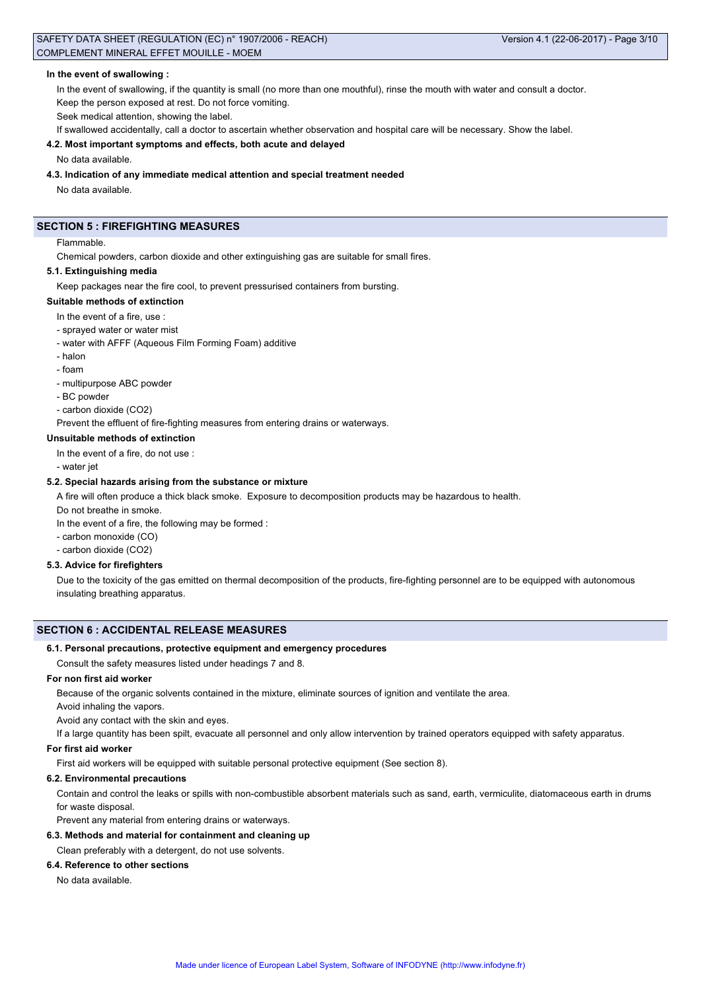### **In the event of swallowing :**

In the event of swallowing, if the quantity is small (no more than one mouthful), rinse the mouth with water and consult a doctor. Keep the person exposed at rest. Do not force vomiting.

Seek medical attention, showing the label.

If swallowed accidentally, call a doctor to ascertain whether observation and hospital care will be necessary. Show the label.

#### **4.2. Most important symptoms and effects, both acute and delayed**

No data available.

### **4.3. Indication of any immediate medical attention and special treatment needed**

No data available.

### **SECTION 5 : FIREFIGHTING MEASURES**

### Flammable.

Chemical powders, carbon dioxide and other extinguishing gas are suitable for small fires.

### **5.1. Extinguishing media**

Keep packages near the fire cool, to prevent pressurised containers from bursting.

### **Suitable methods of extinction**

In the event of a fire, use :

- sprayed water or water mist
- water with AFFF (Aqueous Film Forming Foam) additive
- halon
- foam
- multipurpose ABC powder
- BC powder
- carbon dioxide (CO2)

Prevent the effluent of fire-fighting measures from entering drains or waterways.

### **Unsuitable methods of extinction**

In the event of a fire, do not use :

- water jet

### **5.2. Special hazards arising from the substance or mixture**

A fire will often produce a thick black smoke. Exposure to decomposition products may be hazardous to health.

Do not breathe in smoke.

In the event of a fire, the following may be formed :

- carbon monoxide (CO)

- carbon dioxide (CO2)

### **5.3. Advice for firefighters**

Due to the toxicity of the gas emitted on thermal decomposition of the products, fire-fighting personnel are to be equipped with autonomous insulating breathing apparatus.

### **SECTION 6 : ACCIDENTAL RELEASE MEASURES**

#### **6.1. Personal precautions, protective equipment and emergency procedures**

Consult the safety measures listed under headings 7 and 8.

### **For non first aid worker**

Because of the organic solvents contained in the mixture, eliminate sources of ignition and ventilate the area.

Avoid inhaling the vapors.

Avoid any contact with the skin and eyes.

If a large quantity has been spilt, evacuate all personnel and only allow intervention by trained operators equipped with safety apparatus.

#### **For first aid worker**

First aid workers will be equipped with suitable personal protective equipment (See section 8).

### **6.2. Environmental precautions**

Contain and control the leaks or spills with non-combustible absorbent materials such as sand, earth, vermiculite, diatomaceous earth in drums for waste disposal.

Prevent any material from entering drains or waterways.

### **6.3. Methods and material for containment and cleaning up**

Clean preferably with a detergent, do not use solvents.

### **6.4. Reference to other sections**

No data available.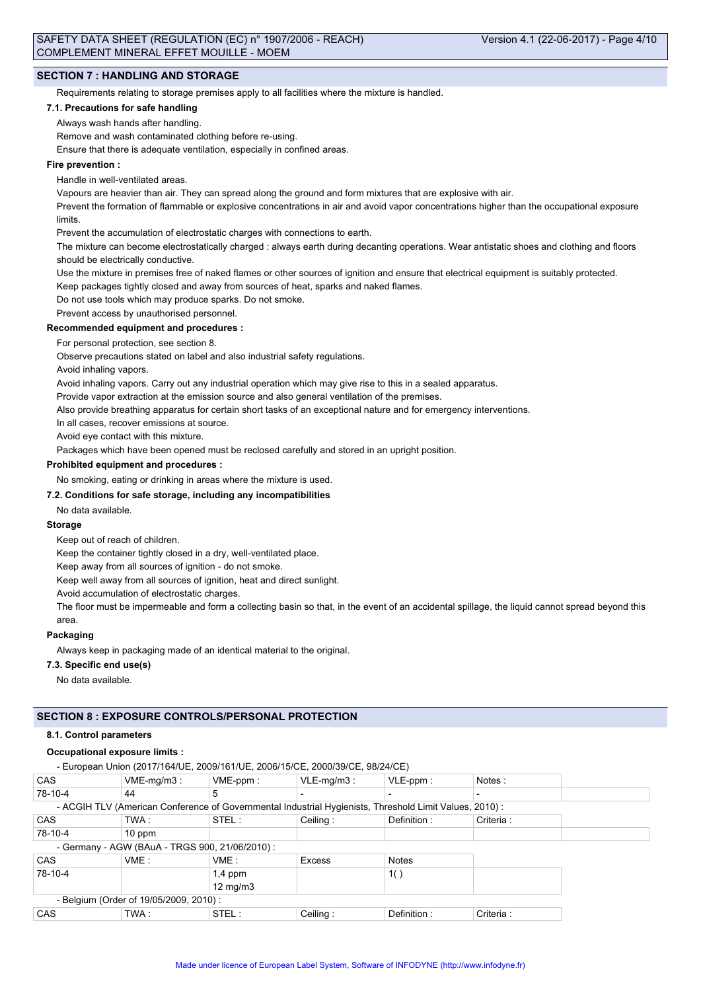### **SECTION 7 : HANDLING AND STORAGE**

Requirements relating to storage premises apply to all facilities where the mixture is handled.

#### **7.1. Precautions for safe handling**

Always wash hands after handling.

Remove and wash contaminated clothing before re-using.

Ensure that there is adequate ventilation, especially in confined areas.

### **Fire prevention :**

Handle in well-ventilated areas.

Vapours are heavier than air. They can spread along the ground and form mixtures that are explosive with air.

Prevent the formation of flammable or explosive concentrations in air and avoid vapor concentrations higher than the occupational exposure limits.

Prevent the accumulation of electrostatic charges with connections to earth.

The mixture can become electrostatically charged : always earth during decanting operations. Wear antistatic shoes and clothing and floors should be electrically conductive.

Use the mixture in premises free of naked flames or other sources of ignition and ensure that electrical equipment is suitably protected.

Keep packages tightly closed and away from sources of heat, sparks and naked flames.

Do not use tools which may produce sparks. Do not smoke.

Prevent access by unauthorised personnel.

**Recommended equipment and procedures :**

For personal protection, see section 8.

Observe precautions stated on label and also industrial safety regulations.

Avoid inhaling vapors.

Avoid inhaling vapors. Carry out any industrial operation which may give rise to this in a sealed apparatus.

Provide vapor extraction at the emission source and also general ventilation of the premises.

Also provide breathing apparatus for certain short tasks of an exceptional nature and for emergency interventions.

In all cases, recover emissions at source.

Avoid eye contact with this mixture.

Packages which have been opened must be reclosed carefully and stored in an upright position.

### **Prohibited equipment and procedures :**

No smoking, eating or drinking in areas where the mixture is used.

### **7.2. Conditions for safe storage, including any incompatibilities**

No data available.

#### **Storage**

Keep out of reach of children.

Keep the container tightly closed in a dry, well-ventilated place.

Keep away from all sources of ignition - do not smoke.

Keep well away from all sources of ignition, heat and direct sunlight.

Avoid accumulation of electrostatic charges.

The floor must be impermeable and form a collecting basin so that, in the event of an accidental spillage, the liquid cannot spread beyond this area.

#### **Packaging**

Always keep in packaging made of an identical material to the original.

### **7.3. Specific end use(s)**

No data available.

### **SECTION 8 : EXPOSURE CONTROLS/PERSONAL PROTECTION**

#### **8.1. Control parameters**

### **Occupational exposure limits :**

- European Union (2017/164/UE, 2009/161/UE, 2006/15/CE, 2000/39/CE, 98/24/CE)

| CAS        | $VME-mg/m3$ :                                   | $VME-ppm$ :       | $VLE-mq/m3$ : | $VLE-ppm$ :                                                                                            | Notes:    |
|------------|-------------------------------------------------|-------------------|---------------|--------------------------------------------------------------------------------------------------------|-----------|
| 78-10-4    | 44                                              | 5                 |               |                                                                                                        |           |
|            |                                                 |                   |               | - ACGIH TLV (American Conference of Governmental Industrial Hygienists, Threshold Limit Values, 2010): |           |
| <b>CAS</b> | TWA :                                           | STEL:             | Ceiling:      | Definition:                                                                                            | Criteria: |
| 78-10-4    | $10$ ppm                                        |                   |               |                                                                                                        |           |
|            | - Germany - AGW (BAuA - TRGS 900, 21/06/2010) : |                   |               |                                                                                                        |           |
| CAS        | VME:                                            | VME:              | Excess        | <b>Notes</b>                                                                                           |           |
| 78-10-4    |                                                 | $1,4$ ppm         |               | 1()                                                                                                    |           |
|            |                                                 | $12 \text{ mg/m}$ |               |                                                                                                        |           |
|            | - Belgium (Order of 19/05/2009, 2010):          |                   |               |                                                                                                        |           |
| <b>CAS</b> | TWA :                                           | STEL:             | Ceiling:      | Definition:                                                                                            | Criteria: |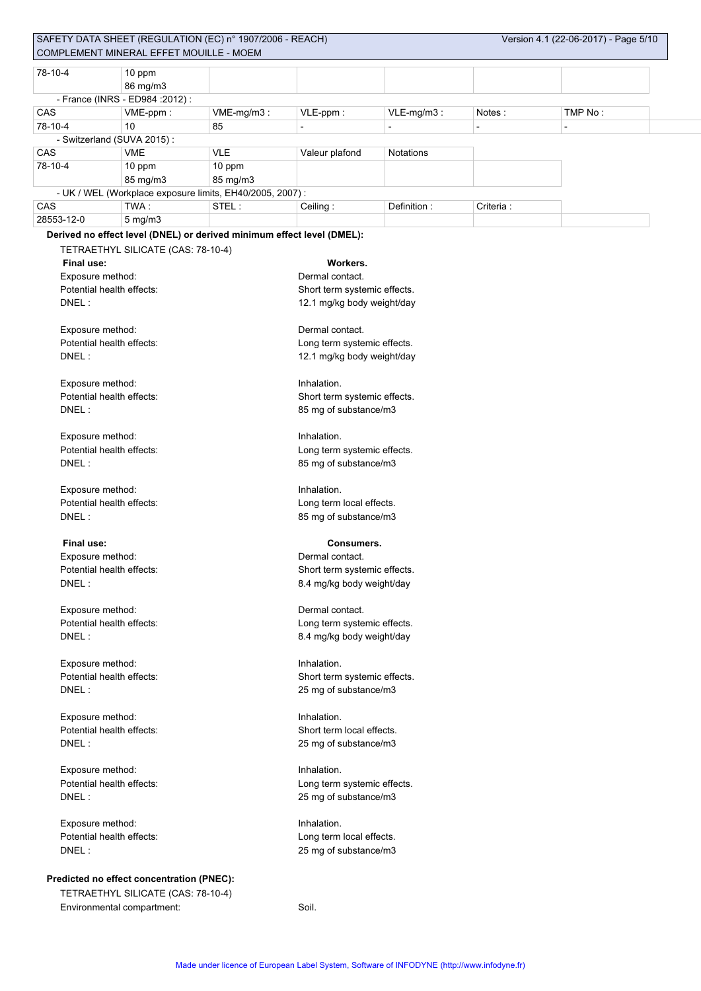| 78-10-4                   | 10 ppm                                    |                                                                        |                              |                                                      |                |                |  |  |  |  |
|---------------------------|-------------------------------------------|------------------------------------------------------------------------|------------------------------|------------------------------------------------------|----------------|----------------|--|--|--|--|
|                           | 86 mg/m3                                  |                                                                        |                              |                                                      |                |                |  |  |  |  |
|                           | - France (INRS - ED984 : 2012) :          |                                                                        |                              |                                                      |                |                |  |  |  |  |
| CAS                       | VME-ppm:                                  | VME-mg/m3:                                                             | VLE-ppm:                     | VLE-mg/m3:                                           | Notes:         | TMP No:        |  |  |  |  |
| 78-10-4                   | 10                                        | 85                                                                     | $\overline{\phantom{0}}$     | $\blacksquare$                                       | $\overline{a}$ | $\blacksquare$ |  |  |  |  |
|                           | - Switzerland (SUVA 2015):                |                                                                        |                              |                                                      |                |                |  |  |  |  |
| CAS                       | <b>VME</b>                                | <b>VLE</b>                                                             | Valeur plafond               | <b>Notations</b>                                     |                |                |  |  |  |  |
| 78-10-4                   |                                           |                                                                        |                              |                                                      |                |                |  |  |  |  |
|                           | 10 ppm                                    | 10 ppm<br>85 mg/m3                                                     |                              |                                                      |                |                |  |  |  |  |
|                           | 85 mg/m3                                  |                                                                        |                              |                                                      |                |                |  |  |  |  |
|                           | TWA:                                      | - UK / WEL (Workplace exposure limits, EH40/2005, 2007) :              |                              |                                                      |                |                |  |  |  |  |
| CAS                       |                                           | STEL:                                                                  | Ceiling:                     | Definition:                                          | Criteria:      |                |  |  |  |  |
| 28553-12-0                | $5$ mg/m $3$                              |                                                                        |                              |                                                      |                |                |  |  |  |  |
|                           |                                           | Derived no effect level (DNEL) or derived minimum effect level (DMEL): |                              |                                                      |                |                |  |  |  |  |
|                           | TETRAETHYL SILICATE (CAS: 78-10-4)        |                                                                        |                              |                                                      |                |                |  |  |  |  |
| Final use:                |                                           |                                                                        | Workers.                     |                                                      |                |                |  |  |  |  |
| Exposure method:          |                                           |                                                                        | Dermal contact.              |                                                      |                |                |  |  |  |  |
| Potential health effects: |                                           |                                                                        | Short term systemic effects. |                                                      |                |                |  |  |  |  |
| DNEL:                     |                                           |                                                                        | 12.1 mg/kg body weight/day   |                                                      |                |                |  |  |  |  |
|                           |                                           |                                                                        |                              |                                                      |                |                |  |  |  |  |
| Exposure method:          |                                           |                                                                        | Dermal contact.              |                                                      |                |                |  |  |  |  |
| Potential health effects: |                                           |                                                                        | Long term systemic effects.  |                                                      |                |                |  |  |  |  |
| DNEL:                     |                                           |                                                                        | 12.1 mg/kg body weight/day   |                                                      |                |                |  |  |  |  |
|                           |                                           |                                                                        |                              |                                                      |                |                |  |  |  |  |
| Exposure method:          |                                           |                                                                        | Inhalation.                  |                                                      |                |                |  |  |  |  |
| Potential health effects: |                                           |                                                                        | Short term systemic effects. |                                                      |                |                |  |  |  |  |
| DNEL:                     |                                           |                                                                        |                              |                                                      |                |                |  |  |  |  |
|                           |                                           |                                                                        | 85 mg of substance/m3        |                                                      |                |                |  |  |  |  |
|                           |                                           |                                                                        |                              |                                                      |                |                |  |  |  |  |
| Exposure method:          |                                           |                                                                        | Inhalation.                  |                                                      |                |                |  |  |  |  |
| Potential health effects: |                                           |                                                                        | Long term systemic effects.  |                                                      |                |                |  |  |  |  |
| DNEL:                     |                                           |                                                                        | 85 mg of substance/m3        |                                                      |                |                |  |  |  |  |
|                           |                                           |                                                                        |                              |                                                      |                |                |  |  |  |  |
| Exposure method:          |                                           |                                                                        | Inhalation.                  |                                                      |                |                |  |  |  |  |
| Potential health effects: |                                           |                                                                        | Long term local effects.     |                                                      |                |                |  |  |  |  |
| DNEL:                     |                                           |                                                                        | 85 mg of substance/m3        |                                                      |                |                |  |  |  |  |
|                           |                                           |                                                                        |                              |                                                      |                |                |  |  |  |  |
| Final use:                |                                           |                                                                        | <b>Consumers.</b>            |                                                      |                |                |  |  |  |  |
| Exposure method:          |                                           |                                                                        | Dermal contact.              |                                                      |                |                |  |  |  |  |
| Potential health effects: |                                           |                                                                        |                              | Short term systemic effects.                         |                |                |  |  |  |  |
| DNEL:                     |                                           |                                                                        | 8.4 mg/kg body weight/day    |                                                      |                |                |  |  |  |  |
|                           |                                           |                                                                        |                              |                                                      |                |                |  |  |  |  |
| Exposure method:          |                                           |                                                                        | Dermal contact.              |                                                      |                |                |  |  |  |  |
| Potential health effects: |                                           |                                                                        | Long term systemic effects.  |                                                      |                |                |  |  |  |  |
| DNEL:                     |                                           |                                                                        | 8.4 mg/kg body weight/day    |                                                      |                |                |  |  |  |  |
|                           |                                           |                                                                        |                              |                                                      |                |                |  |  |  |  |
| Exposure method:          |                                           |                                                                        | Inhalation.                  |                                                      |                |                |  |  |  |  |
| Potential health effects: |                                           |                                                                        | Short term systemic effects. |                                                      |                |                |  |  |  |  |
| DNEL:                     |                                           |                                                                        | 25 mg of substance/m3        |                                                      |                |                |  |  |  |  |
|                           |                                           |                                                                        |                              |                                                      |                |                |  |  |  |  |
| Exposure method:          |                                           |                                                                        | Inhalation.                  |                                                      |                |                |  |  |  |  |
| Potential health effects: |                                           |                                                                        | Short term local effects.    |                                                      |                |                |  |  |  |  |
| DNEL:                     |                                           |                                                                        | 25 mg of substance/m3        |                                                      |                |                |  |  |  |  |
|                           |                                           |                                                                        |                              |                                                      |                |                |  |  |  |  |
|                           |                                           |                                                                        | Inhalation.                  |                                                      |                |                |  |  |  |  |
| Exposure method:          |                                           |                                                                        |                              |                                                      |                |                |  |  |  |  |
|                           | Potential health effects:                 |                                                                        |                              | Long term systemic effects.<br>25 mg of substance/m3 |                |                |  |  |  |  |
| DNEL:                     |                                           |                                                                        |                              |                                                      |                |                |  |  |  |  |
|                           |                                           |                                                                        |                              |                                                      |                |                |  |  |  |  |
| Exposure method:          |                                           |                                                                        | Inhalation.                  |                                                      |                |                |  |  |  |  |
| Potential health effects: |                                           |                                                                        | Long term local effects.     |                                                      |                |                |  |  |  |  |
| DNEL:                     |                                           |                                                                        | 25 mg of substance/m3        |                                                      |                |                |  |  |  |  |
|                           |                                           |                                                                        |                              |                                                      |                |                |  |  |  |  |
|                           | Predicted no effect concentration (PNEC): |                                                                        |                              |                                                      |                |                |  |  |  |  |
|                           | TETRAETHYL SILICATE (CAS: 78-10-4)        |                                                                        |                              |                                                      |                |                |  |  |  |  |
|                           | Environmental compartment:                |                                                                        | Soil.                        |                                                      |                |                |  |  |  |  |
|                           |                                           |                                                                        |                              |                                                      |                |                |  |  |  |  |
|                           |                                           |                                                                        |                              |                                                      |                |                |  |  |  |  |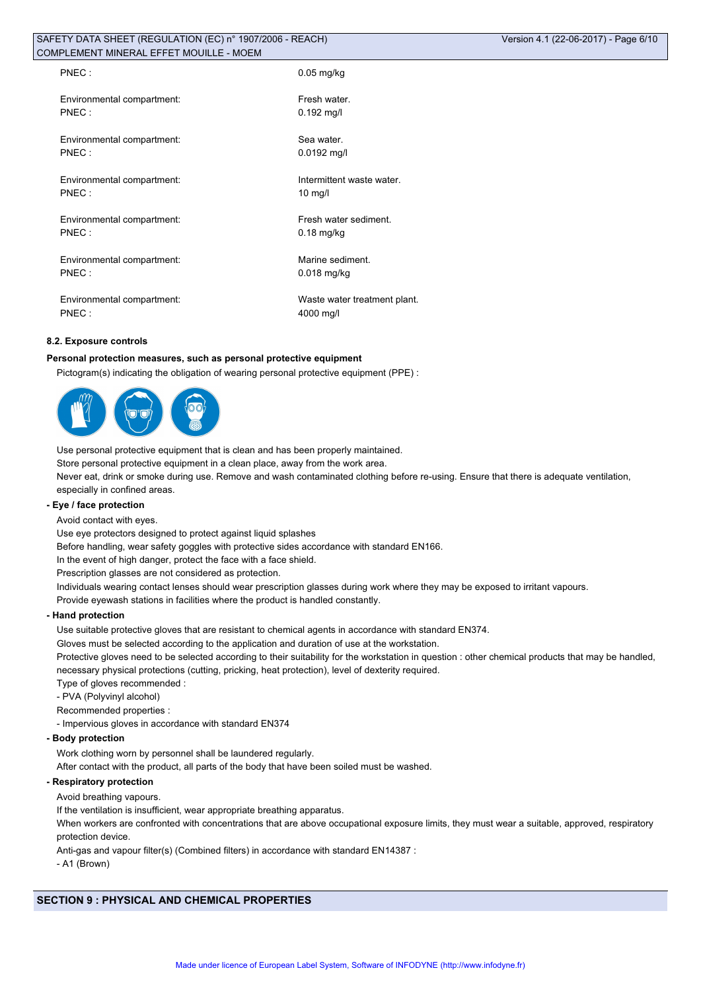| PNEC:                      | $0.05$ mg/kg                 |
|----------------------------|------------------------------|
| Environmental compartment: | Fresh water.                 |
| PNEC:                      | $0.192$ mg/l                 |
| Environmental compartment: | Sea water.                   |
| PNEC:                      | $0.0192$ mg/l                |
| Environmental compartment: | Intermittent waste water.    |
| PNEC:                      | $10 \text{ mg/l}$            |
| Environmental compartment: | Fresh water sediment.        |
| PNEC:                      | $0.18$ mg/kg                 |
| Environmental compartment: | Marine sediment.             |
| PNEC:                      | $0.018$ mg/kg                |
| Environmental compartment: | Waste water treatment plant. |
| PNEC:                      | 4000 mg/l                    |

### **8.2. Exposure controls**

### **Personal protection measures, such as personal protective equipment**

Pictogram(s) indicating the obligation of wearing personal protective equipment (PPE) :



Use personal protective equipment that is clean and has been properly maintained.

Store personal protective equipment in a clean place, away from the work area.

Never eat, drink or smoke during use. Remove and wash contaminated clothing before re-using. Ensure that there is adequate ventilation, especially in confined areas.

### **- Eye / face protection**

Avoid contact with eyes.

Use eye protectors designed to protect against liquid splashes

Before handling, wear safety goggles with protective sides accordance with standard EN166.

In the event of high danger, protect the face with a face shield.

Prescription glasses are not considered as protection.

Individuals wearing contact lenses should wear prescription glasses during work where they may be exposed to irritant vapours.

Provide eyewash stations in facilities where the product is handled constantly.

### **- Hand protection**

Use suitable protective gloves that are resistant to chemical agents in accordance with standard EN374.

Gloves must be selected according to the application and duration of use at the workstation.

Protective gloves need to be selected according to their suitability for the workstation in question : other chemical products that may be handled, necessary physical protections (cutting, pricking, heat protection), level of dexterity required.

Type of gloves recommended :

- PVA (Polyvinyl alcohol)

Recommended properties :

- Impervious gloves in accordance with standard EN374

#### **- Body protection**

Work clothing worn by personnel shall be laundered regularly.

After contact with the product, all parts of the body that have been soiled must be washed.

### **- Respiratory protection**

Avoid breathing vapours.

If the ventilation is insufficient, wear appropriate breathing apparatus.

When workers are confronted with concentrations that are above occupational exposure limits, they must wear a suitable, approved, respiratory protection device.

Anti-gas and vapour filter(s) (Combined filters) in accordance with standard EN14387 :

- A1 (Brown)

# **SECTION 9 : PHYSICAL AND CHEMICAL PROPERTIES**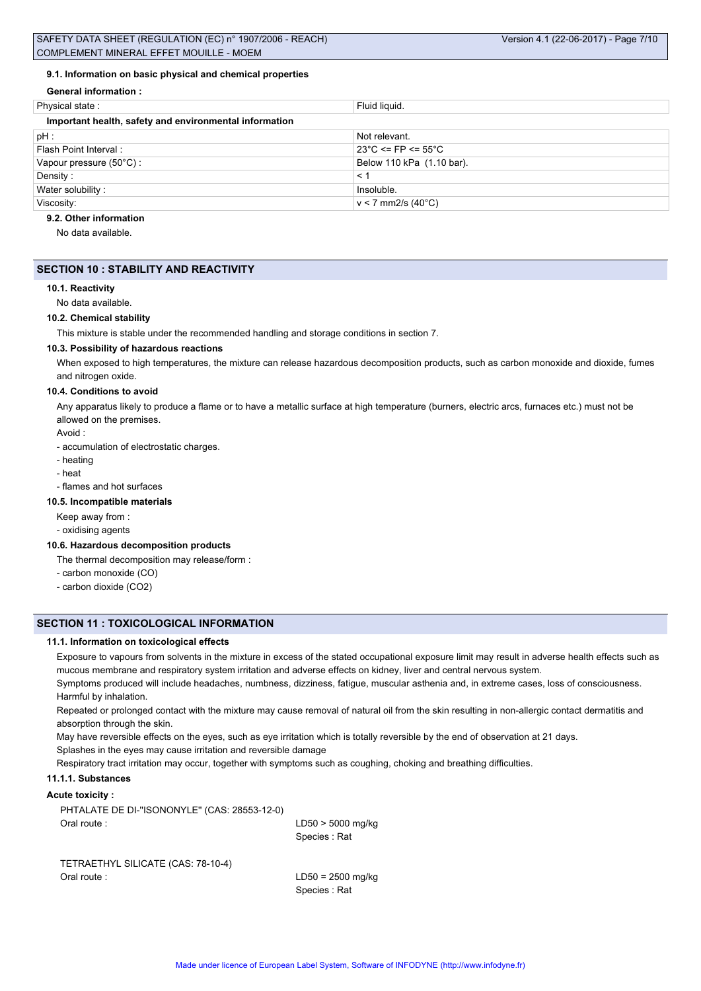### **9.1. Information on basic physical and chemical properties**

**General information :**

| Physical state:                                        | Fluid liquid.                           |
|--------------------------------------------------------|-----------------------------------------|
| Important health, safety and environmental information |                                         |
| $pH$ :                                                 | Not relevant.                           |
| Flash Point Interval:                                  | $23^{\circ}$ C <= FP <= 55 $^{\circ}$ C |
| Vapour pressure $(50^{\circ}C)$ :                      | Below 110 kPa (1.10 bar).               |
| Density:                                               | < 1                                     |
| Water solubility:                                      | Insoluble.                              |
| Viscosity:                                             | $v < 7$ mm2/s (40°C)                    |

### **9.2. Other information**

No data available.

### **SECTION 10 : STABILITY AND REACTIVITY**

#### **10.1. Reactivity**

No data available.

#### **10.2. Chemical stability**

This mixture is stable under the recommended handling and storage conditions in section 7.

### **10.3. Possibility of hazardous reactions**

When exposed to high temperatures, the mixture can release hazardous decomposition products, such as carbon monoxide and dioxide, fumes and nitrogen oxide.

### **10.4. Conditions to avoid**

Any apparatus likely to produce a flame or to have a metallic surface at high temperature (burners, electric arcs, furnaces etc.) must not be allowed on the premises.

### Avoid :

- accumulation of electrostatic charges.

- heating
- heat

# - flames and hot surfaces

### **10.5. Incompatible materials**

Keep away from :

- oxidising agents

### **10.6. Hazardous decomposition products**

The thermal decomposition may release/form :

- carbon monoxide (CO)
- carbon dioxide (CO2)

### **SECTION 11 : TOXICOLOGICAL INFORMATION**

### **11.1. Information on toxicological effects**

Exposure to vapours from solvents in the mixture in excess of the stated occupational exposure limit may result in adverse health effects such as mucous membrane and respiratory system irritation and adverse effects on kidney, liver and central nervous system.

Symptoms produced will include headaches, numbness, dizziness, fatigue, muscular asthenia and, in extreme cases, loss of consciousness. Harmful by inhalation.

Repeated or prolonged contact with the mixture may cause removal of natural oil from the skin resulting in non-allergic contact dermatitis and absorption through the skin.

May have reversible effects on the eyes, such as eye irritation which is totally reversible by the end of observation at 21 days. Splashes in the eyes may cause irritation and reversible damage

Respiratory tract irritation may occur, together with symptoms such as coughing, choking and breathing difficulties.

### **11.1.1. Substances**

### **Acute toxicity :**

PHTALATE DE DI-''ISONONYLE'' (CAS: 28553-12-0) Oral route : LD50 > 5000 mg/kg

Species : Rat

TETRAETHYL SILICATE (CAS: 78-10-4) Oral route : LD50 = 2500 mg/kg

Species : Rat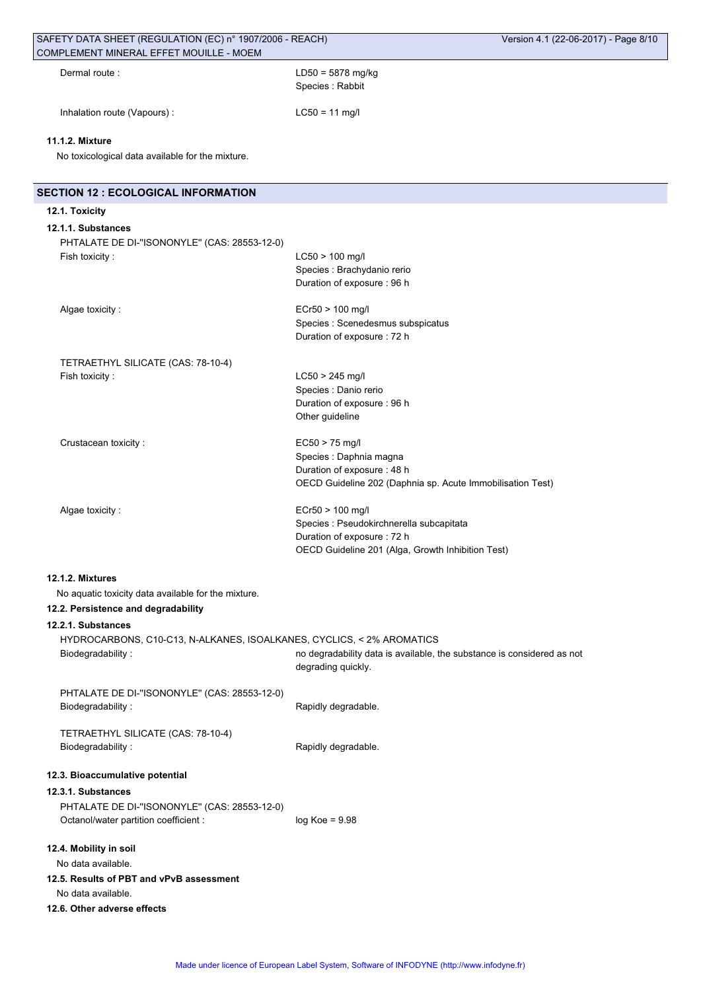| Dermal route:               | $LD50 = 5878$ mg/kg<br>Species: Rabbit |
|-----------------------------|----------------------------------------|
| Inhalation route (Vapours): | $LC50 = 11$ mg/l                       |

### **11.1.2. Mixture**

No toxicological data available for the mixture.

| <b>SECTION 12 : ECOLOGICAL INFORMATION</b>                                                                     |                                                                                                                                                  |
|----------------------------------------------------------------------------------------------------------------|--------------------------------------------------------------------------------------------------------------------------------------------------|
| 12.1. Toxicity                                                                                                 |                                                                                                                                                  |
| 12.1.1. Substances<br>PHTALATE DE DI-"ISONONYLE" (CAS: 28553-12-0)<br>Fish toxicity:                           | $LC50 > 100$ mg/l<br>Species : Brachydanio rerio<br>Duration of exposure : 96 h                                                                  |
| Algae toxicity:                                                                                                | ECr50 > 100 mg/l<br>Species : Scenedesmus subspicatus<br>Duration of exposure : 72 h                                                             |
| TETRAETHYL SILICATE (CAS: 78-10-4)<br>Fish toxicity:                                                           | $LC50 > 245$ mg/l<br>Species : Danio rerio<br>Duration of exposure : 96 h<br>Other guideline                                                     |
| Crustacean toxicity:                                                                                           | $EC50 > 75$ mg/l<br>Species : Daphnia magna<br>Duration of exposure: 48 h<br>OECD Guideline 202 (Daphnia sp. Acute Immobilisation Test)          |
| Algae toxicity:                                                                                                | ECr50 > 100 mg/l<br>Species : Pseudokirchnerella subcapitata<br>Duration of exposure : 72 h<br>OECD Guideline 201 (Alga, Growth Inhibition Test) |
| 12.1.2. Mixtures<br>No aquatic toxicity data available for the mixture.<br>12.2. Persistence and degradability |                                                                                                                                                  |
| 12.2.1. Substances                                                                                             |                                                                                                                                                  |
| HYDROCARBONS, C10-C13, N-ALKANES, ISOALKANES, CYCLICS, < 2% AROMATICS<br>Biodegradability:                     | no degradability data is available, the substance is considered as not<br>degrading quickly.                                                     |
| PHTALATE DE DI-"ISONONYLE" (CAS: 28553-12-0)<br>Biodegradability:                                              | Rapidly degradable.                                                                                                                              |
| TETRAETHYL SILICATE (CAS: 78-10-4)<br>Biodegradability:                                                        | Rapidly degradable.                                                                                                                              |
| 12.3. Bioaccumulative potential<br>12.3.1. Substances<br>PHTALATE DE DI-"ISONONYLE" (CAS: 28553-12-0)          |                                                                                                                                                  |
| Octanol/water partition coefficient :                                                                          | $log Koe = 9.98$                                                                                                                                 |
| 12.4. Mobility in soil<br>No data available.<br>12.5. Results of PBT and vPvB assessment                       |                                                                                                                                                  |
| No data available.<br>12.6. Other adverse effects                                                              |                                                                                                                                                  |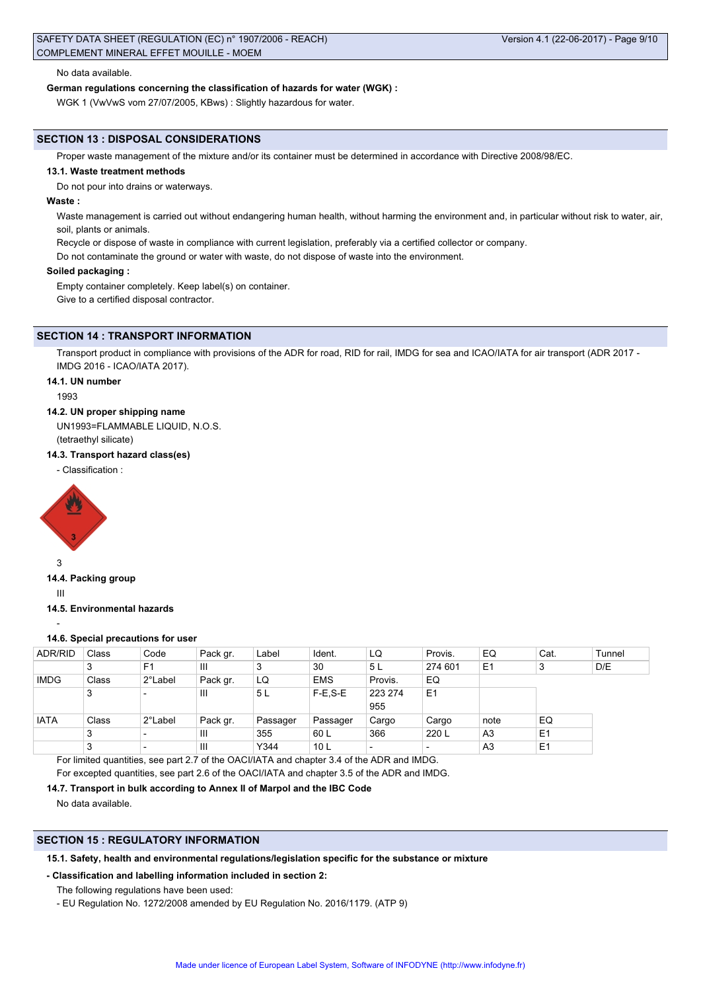#### No data available.

#### **German regulations concerning the classification of hazards for water (WGK) :**

WGK 1 (VwVwS vom 27/07/2005, KBws) : Slightly hazardous for water.

### **SECTION 13 : DISPOSAL CONSIDERATIONS**

Proper waste management of the mixture and/or its container must be determined in accordance with Directive 2008/98/EC.

### **13.1. Waste treatment methods**

Do not pour into drains or waterways.

### **Waste :**

Waste management is carried out without endangering human health, without harming the environment and, in particular without risk to water, air, soil, plants or animals.

Recycle or dispose of waste in compliance with current legislation, preferably via a certified collector or company.

Do not contaminate the ground or water with waste, do not dispose of waste into the environment.

### **Soiled packaging :**

Empty container completely. Keep label(s) on container. Give to a certified disposal contractor.

### **SECTION 14 : TRANSPORT INFORMATION**

Transport product in compliance with provisions of the ADR for road, RID for rail, IMDG for sea and ICAO/IATA for air transport (ADR 2017 - IMDG 2016 - ICAO/IATA 2017).

#### **14.1. UN number**

1993

#### **14.2. UN proper shipping name**

UN1993=FLAMMABLE LIQUID, N.O.S. (tetraethyl silicate)

### **14.3. Transport hazard class(es)**

- Classification :



### **14.4. Packing group**

III

-

### **14.5. Environmental hazards**

### **14.6. Special precautions for user**

| <b>ADR/RID</b> | Class | Code                     | Pack gr.                                                                                   | Label    | Ident.          | LQ      | Provis.        | EQ             | Cat.           | Tunnel |
|----------------|-------|--------------------------|--------------------------------------------------------------------------------------------|----------|-----------------|---------|----------------|----------------|----------------|--------|
|                | 3     | F <sub>1</sub>           | Ш                                                                                          | 3        | 30              | 5L      | 274 601        | E <sub>1</sub> | 3              | D/E    |
| <b>IMDG</b>    | Class | 2°Label                  | Pack gr.                                                                                   | LQ       | <b>EMS</b>      | Provis. | EQ             |                |                |        |
|                | 3     | -                        | Ш                                                                                          | 5L       | $F-E.S-E$       | 223 274 | E <sub>1</sub> |                |                |        |
|                |       |                          |                                                                                            |          |                 | 955     |                |                |                |        |
| <b>IATA</b>    | Class | 2°Label                  | Pack gr.                                                                                   | Passager | Passager        | Cargo   | Cargo          | note           | EQ             |        |
|                | 3     |                          | Ш                                                                                          | 355      | 60 L            | 366     | 220 L          | A3             | E <sub>1</sub> |        |
|                | 3     | $\overline{\phantom{0}}$ | $\mathbf{III}$                                                                             | Y344     | 10 <sub>L</sub> |         |                | A <sub>3</sub> | E <sub>1</sub> |        |
|                |       |                          | For limited quantities, see part 2.7 of the OACI/IATA and chapter 3.4 of the ADR and IMDG. |          |                 |         |                |                |                |        |

For excepted quantities, see part 2.6 of the OACI/IATA and chapter 3.5 of the ADR and IMDG.

### **14.7. Transport in bulk according to Annex II of Marpol and the IBC Code**

No data available.

## **SECTION 15 : REGULATORY INFORMATION**

### **15.1. Safety, health and environmental regulations/legislation specific for the substance or mixture**

### **- Classification and labelling information included in section 2:**

- The following regulations have been used:
- EU Regulation No. 1272/2008 amended by EU Regulation No. 2016/1179. (ATP 9)